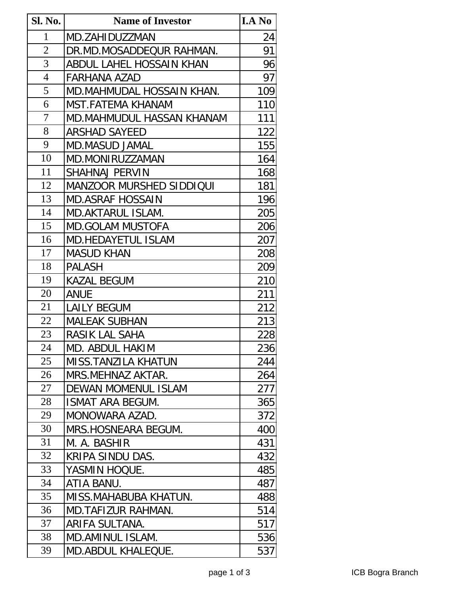| Sl. No.        | <b>Name of Investor</b>         | <b>I.A No</b> |
|----------------|---------------------------------|---------------|
| 1              | MD.ZAHIDUZZMAN                  | 24            |
| $\overline{2}$ | DR.MD.MOSADDEQUR RAHMAN.        | 91            |
| 3              | ABDUL LAHEL HOSSAIN KHAN        | 96            |
| $\overline{4}$ | FARHANA AZAD                    | 97            |
| 5              | MD.MAHMUDAL HOSSAIN KHAN.       | 109           |
| 6              | MST.FATEMA KHANAM               | 110           |
| 7              | MD.MAHMUDUL HASSAN KHANAM       | 111           |
| 8              | <b>ARSHAD SAYEED</b>            | 122           |
| 9              | <b>MD.MASUD JAMAL</b>           | 155           |
| 10             | MD.MONIRUZZAMAN                 | 164           |
| 11             | SHAHNAJ PERVIN                  | 168           |
| 12             | <b>MANZOOR MURSHED SIDDIQUI</b> | 181           |
| 13             | <b>MD.ASRAF HOSSAIN</b>         | 196           |
| 14             | MD.AKTARUL ISLAM.               | 205           |
| 15             | <b>MD.GOLAM MUSTOFA</b>         | 206           |
| 16             | MD.HEDAYETUL ISLAM              | 207           |
| 17             | <b>MASUD KHAN</b>               | 208           |
| 18             | <b>PALASH</b>                   | 209           |
| 19             | KAZAL BEGUM                     | 210           |
| 20             | ANUE                            | 211           |
| 21             | <b>LAILY BEGUM</b>              | 212           |
| 22             | <b>MALEAK SUBHAN</b>            | 213           |
| 23             | RASIK LAL SAHA                  | 228           |
| 24             | MD. ABDUL HAKIM                 | 236           |
| 25             | MISS.TANZILA KHATUN             | 244           |
| 26             | MRS.MEHNAZ AKTAR.               | 264           |
| 27             | <b>DEWAN MOMENUL ISLAM</b>      | 277           |
| 28             | ISMAT ARA BEGUM.                | 365           |
| 29             | MONOWARA AZAD.                  | 372           |
| 30             | MRS.HOSNEARA BEGUM.             | 400           |
| 31             | M. A. BASHIR                    | 431           |
| 32             | KRIPA SINDU DAS.                | 432           |
| 33             | YASMIN HOQUE.                   | 485           |
| 34             | ATIA BANU.                      | 487           |
| 35             | MISS.MAHABUBA KHATUN.           | 488           |
| 36             | MD.TAFIZUR RAHMAN.              | 514           |
| 37             | ARIFA SULTANA.                  | 517           |
| 38             | MD.AMINUL ISLAM.                | 536           |
| 39             | MD.ABDUL KHALEQUE.              | 537           |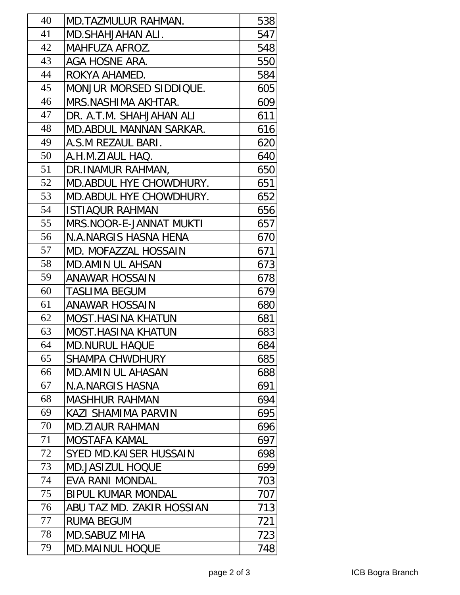| 40 | MD.TAZMULUR RAHMAN.            | 538 |
|----|--------------------------------|-----|
| 41 | MD.SHAHJAHAN ALI.              | 547 |
| 42 | MAHFUZA AFROZ.                 | 548 |
| 43 | AGA HOSNE ARA.                 | 550 |
| 44 | ROKYA AHAMED.                  | 584 |
| 45 | MONJUR MORSED SIDDIQUE.        | 605 |
| 46 | MRS.NASHIMA AKHTAR.            | 609 |
| 47 | DR. A.T.M. SHAHJAHAN ALI       | 611 |
| 48 | <b>MD.ABDUL MANNAN SARKAR.</b> | 616 |
| 49 | A.S.M REZAUL BARI.             | 620 |
| 50 | A.H.M.ZIAUL HAQ.               | 640 |
| 51 | DR.INAMUR RAHMAN,              | 650 |
| 52 | MD. ABDUL HYE CHOWDHURY.       | 651 |
| 53 | MD. ABDUL HYE CHOWDHURY.       | 652 |
| 54 | <b>ISTIAQUR RAHMAN</b>         | 656 |
| 55 | MRS.NOOR-E-JANNAT MUKTI        | 657 |
| 56 | N.A.NARGIS HASNA HENA          | 670 |
| 57 | <b>MD. MOFAZZAL HOSSAIN</b>    | 671 |
| 58 | <b>MD.AMIN UL AHSAN</b>        | 673 |
| 59 | <b>ANAWAR HOSSAIN</b>          | 678 |
| 60 | <b>TASLIMA BEGUM</b>           | 679 |
| 61 | ANAWAR HOSSAIN                 | 680 |
| 62 | <b>MOST.HASINA KHATUN</b>      | 681 |
| 63 | <b>MOST.HASINA KHATUN</b>      | 683 |
| 64 | <b>MD.NURUL HAQUE</b>          | 684 |
| 65 | <b>SHAMPA CHWDHURY</b>         | 685 |
| 66 | <b>MD.AMIN UL AHASAN</b>       | 688 |
| 67 | <b>N.A.NARGIS HASNA</b>        | 691 |
| 68 | <b>MASHHUR RAHMAN</b>          | 694 |
| 69 | KAZI SHAMIMA PARVIN            | 695 |
| 70 | <b>MD.ZIAUR RAHMAN</b>         | 696 |
| 71 | MOSTAFA KAMAL                  | 697 |
| 72 | SYED MD.KAISER HUSSAIN         | 698 |
| 73 | <b>MD.JASIZUL HOQUE</b>        | 699 |
| 74 | <b>EVA RANI MONDAL</b>         | 703 |
| 75 | <b>BIPUL KUMAR MONDAL</b>      | 707 |
| 76 | ABU TAZ MD. ZAKIR HOSSIAN      | 713 |
| 77 | <b>RUMA BEGUM</b>              | 721 |
| 78 | <b>MD.SABUZ MIHA</b>           | 723 |
| 79 | <b>MD.MAINUL HOQUE</b>         | 748 |